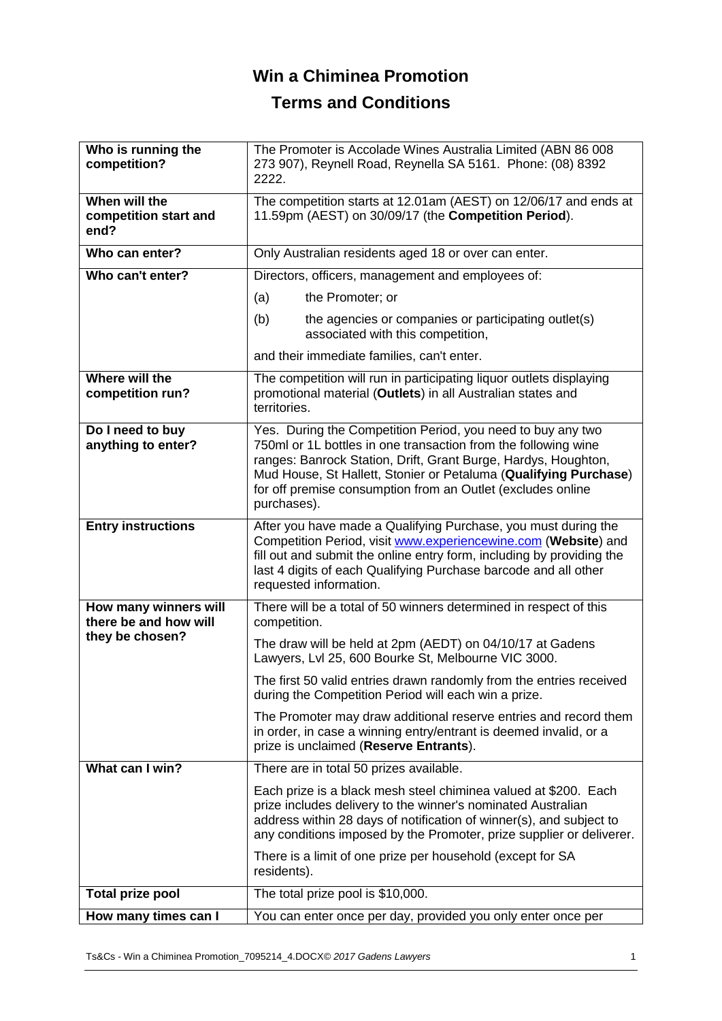# **Win a Chiminea Promotion**

## **Terms and Conditions**

| Who is running the<br>competition?             | The Promoter is Accolade Wines Australia Limited (ABN 86 008<br>273 907), Reynell Road, Reynella SA 5161. Phone: (08) 8392<br>2222.                                                                                                                                                                                                               |
|------------------------------------------------|---------------------------------------------------------------------------------------------------------------------------------------------------------------------------------------------------------------------------------------------------------------------------------------------------------------------------------------------------|
| When will the<br>competition start and<br>end? | The competition starts at 12.01am (AEST) on 12/06/17 and ends at<br>11.59pm (AEST) on 30/09/17 (the Competition Period).                                                                                                                                                                                                                          |
| Who can enter?                                 | Only Australian residents aged 18 or over can enter.                                                                                                                                                                                                                                                                                              |
| Who can't enter?                               | Directors, officers, management and employees of:                                                                                                                                                                                                                                                                                                 |
|                                                | (a)<br>the Promoter; or                                                                                                                                                                                                                                                                                                                           |
|                                                | (b)<br>the agencies or companies or participating outlet(s)<br>associated with this competition,                                                                                                                                                                                                                                                  |
|                                                | and their immediate families, can't enter.                                                                                                                                                                                                                                                                                                        |
| Where will the<br>competition run?             | The competition will run in participating liquor outlets displaying<br>promotional material (Outlets) in all Australian states and<br>territories.                                                                                                                                                                                                |
| Do I need to buy<br>anything to enter?         | Yes. During the Competition Period, you need to buy any two<br>750ml or 1L bottles in one transaction from the following wine<br>ranges: Banrock Station, Drift, Grant Burge, Hardys, Houghton,<br>Mud House, St Hallett, Stonier or Petaluma (Qualifying Purchase)<br>for off premise consumption from an Outlet (excludes online<br>purchases). |
| <b>Entry instructions</b>                      | After you have made a Qualifying Purchase, you must during the<br>Competition Period, visit www.experiencewine.com (Website) and<br>fill out and submit the online entry form, including by providing the<br>last 4 digits of each Qualifying Purchase barcode and all other<br>requested information.                                            |
| How many winners will<br>there be and how will | There will be a total of 50 winners determined in respect of this<br>competition.                                                                                                                                                                                                                                                                 |
| they be chosen?                                | The draw will be held at 2pm (AEDT) on 04/10/17 at Gadens<br>Lawyers, Lvl 25, 600 Bourke St, Melbourne VIC 3000.                                                                                                                                                                                                                                  |
|                                                | The first 50 valid entries drawn randomly from the entries received<br>during the Competition Period will each win a prize.                                                                                                                                                                                                                       |
|                                                | The Promoter may draw additional reserve entries and record them<br>in order, in case a winning entry/entrant is deemed invalid, or a<br>prize is unclaimed (Reserve Entrants).                                                                                                                                                                   |
| What can I win?                                | There are in total 50 prizes available.                                                                                                                                                                                                                                                                                                           |
|                                                | Each prize is a black mesh steel chiminea valued at \$200. Each<br>prize includes delivery to the winner's nominated Australian<br>address within 28 days of notification of winner(s), and subject to<br>any conditions imposed by the Promoter, prize supplier or deliverer.<br>There is a limit of one prize per household (except for SA      |
|                                                | residents).                                                                                                                                                                                                                                                                                                                                       |
| <b>Total prize pool</b>                        | The total prize pool is \$10,000.                                                                                                                                                                                                                                                                                                                 |
| How many times can I                           | You can enter once per day, provided you only enter once per                                                                                                                                                                                                                                                                                      |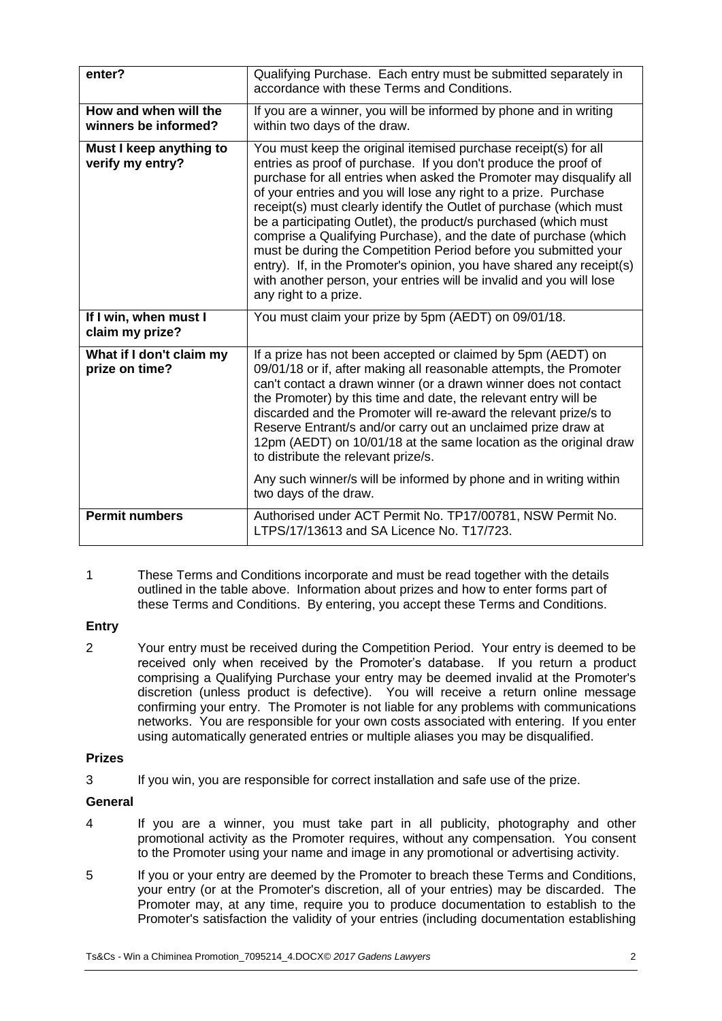| enter?                                        | Qualifying Purchase. Each entry must be submitted separately in<br>accordance with these Terms and Conditions.                                                                                                                                                                                                                                                                                                                                                                                                                                                                                                                                                                                                                          |
|-----------------------------------------------|-----------------------------------------------------------------------------------------------------------------------------------------------------------------------------------------------------------------------------------------------------------------------------------------------------------------------------------------------------------------------------------------------------------------------------------------------------------------------------------------------------------------------------------------------------------------------------------------------------------------------------------------------------------------------------------------------------------------------------------------|
| How and when will the<br>winners be informed? | If you are a winner, you will be informed by phone and in writing<br>within two days of the draw.                                                                                                                                                                                                                                                                                                                                                                                                                                                                                                                                                                                                                                       |
| Must I keep anything to<br>verify my entry?   | You must keep the original itemised purchase receipt(s) for all<br>entries as proof of purchase. If you don't produce the proof of<br>purchase for all entries when asked the Promoter may disqualify all<br>of your entries and you will lose any right to a prize. Purchase<br>receipt(s) must clearly identify the Outlet of purchase (which must<br>be a participating Outlet), the product/s purchased (which must<br>comprise a Qualifying Purchase), and the date of purchase (which<br>must be during the Competition Period before you submitted your<br>entry). If, in the Promoter's opinion, you have shared any receipt(s)<br>with another person, your entries will be invalid and you will lose<br>any right to a prize. |
| If I win, when must I<br>claim my prize?      | You must claim your prize by 5pm (AEDT) on 09/01/18.                                                                                                                                                                                                                                                                                                                                                                                                                                                                                                                                                                                                                                                                                    |
| What if I don't claim my<br>prize on time?    | If a prize has not been accepted or claimed by 5pm (AEDT) on<br>09/01/18 or if, after making all reasonable attempts, the Promoter<br>can't contact a drawn winner (or a drawn winner does not contact<br>the Promoter) by this time and date, the relevant entry will be<br>discarded and the Promoter will re-award the relevant prize/s to<br>Reserve Entrant/s and/or carry out an unclaimed prize draw at<br>12pm (AEDT) on 10/01/18 at the same location as the original draw<br>to distribute the relevant prize/s.<br>Any such winner/s will be informed by phone and in writing within<br>two days of the draw.                                                                                                                |
| <b>Permit numbers</b>                         | Authorised under ACT Permit No. TP17/00781, NSW Permit No.                                                                                                                                                                                                                                                                                                                                                                                                                                                                                                                                                                                                                                                                              |
|                                               | LTPS/17/13613 and SA Licence No. T17/723.                                                                                                                                                                                                                                                                                                                                                                                                                                                                                                                                                                                                                                                                                               |

1 These Terms and Conditions incorporate and must be read together with the details outlined in the table above. Information about prizes and how to enter forms part of these Terms and Conditions. By entering, you accept these Terms and Conditions.

#### **Entry**

2 Your entry must be received during the Competition Period. Your entry is deemed to be received only when received by the Promoter's database. If you return a product comprising a Qualifying Purchase your entry may be deemed invalid at the Promoter's discretion (unless product is defective). You will receive a return online message confirming your entry. The Promoter is not liable for any problems with communications networks. You are responsible for your own costs associated with entering. If you enter using automatically generated entries or multiple aliases you may be disqualified.

#### **Prizes**

3 If you win, you are responsible for correct installation and safe use of the prize.

### **General**

- 4 If you are a winner, you must take part in all publicity, photography and other promotional activity as the Promoter requires, without any compensation. You consent to the Promoter using your name and image in any promotional or advertising activity.
- 5 If you or your entry are deemed by the Promoter to breach these Terms and Conditions, your entry (or at the Promoter's discretion, all of your entries) may be discarded. The Promoter may, at any time, require you to produce documentation to establish to the Promoter's satisfaction the validity of your entries (including documentation establishing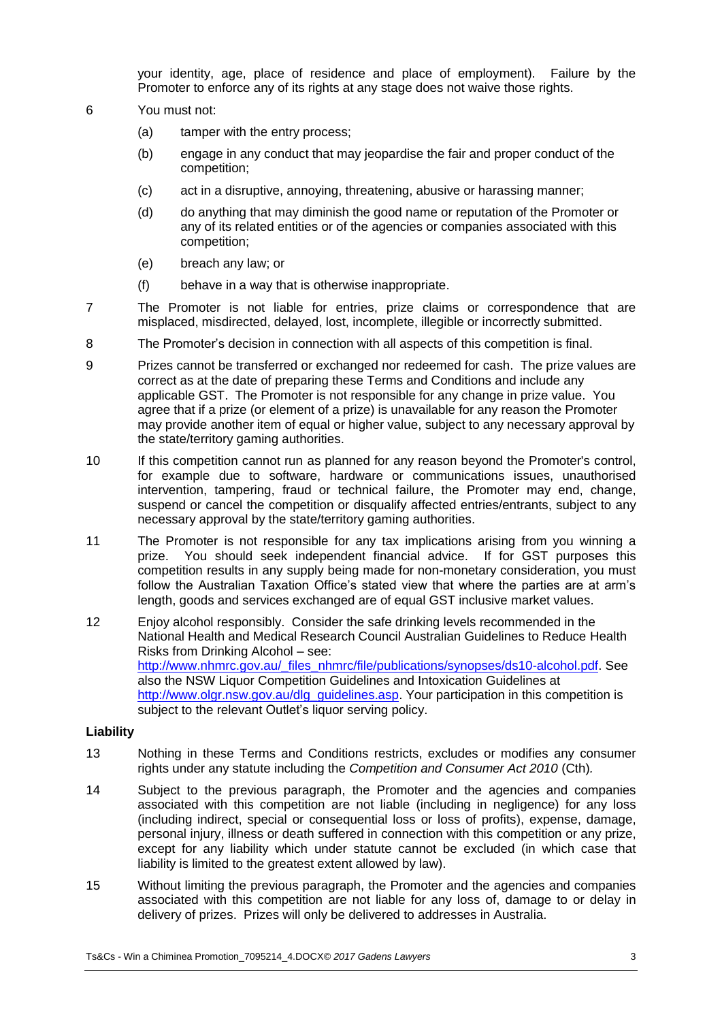your identity, age, place of residence and place of employment). Failure by the Promoter to enforce any of its rights at any stage does not waive those rights.

- 6 You must not:
	- (a) tamper with the entry process;
	- (b) engage in any conduct that may jeopardise the fair and proper conduct of the competition;
	- (c) act in a disruptive, annoying, threatening, abusive or harassing manner;
	- (d) do anything that may diminish the good name or reputation of the Promoter or any of its related entities or of the agencies or companies associated with this competition;
	- (e) breach any law; or
	- (f) behave in a way that is otherwise inappropriate.
- 7 The Promoter is not liable for entries, prize claims or correspondence that are misplaced, misdirected, delayed, lost, incomplete, illegible or incorrectly submitted.
- 8 The Promoter's decision in connection with all aspects of this competition is final.
- 9 Prizes cannot be transferred or exchanged nor redeemed for cash. The prize values are correct as at the date of preparing these Terms and Conditions and include any applicable GST. The Promoter is not responsible for any change in prize value. You agree that if a prize (or element of a prize) is unavailable for any reason the Promoter may provide another item of equal or higher value, subject to any necessary approval by the state/territory gaming authorities.
- 10 If this competition cannot run as planned for any reason beyond the Promoter's control, for example due to software, hardware or communications issues, unauthorised intervention, tampering, fraud or technical failure, the Promoter may end, change, suspend or cancel the competition or disqualify affected entries/entrants, subject to any necessary approval by the state/territory gaming authorities.
- 11 The Promoter is not responsible for any tax implications arising from you winning a prize. You should seek independent financial advice. If for GST purposes this competition results in any supply being made for non-monetary consideration, you must follow the Australian Taxation Office's stated view that where the parties are at arm's length, goods and services exchanged are of equal GST inclusive market values.
- 12 Enjoy alcohol responsibly. Consider the safe drinking levels recommended in the National Health and Medical Research Council Australian Guidelines to Reduce Health Risks from Drinking Alcohol – see: [http://www.nhmrc.gov.au/\\_files\\_nhmrc/file/publications/synopses/ds10-alcohol.pdf.](http://www.nhmrc.gov.au/_files_nhmrc/file/publications/synopses/ds10-alcohol.pdf) See also the NSW Liquor Competition Guidelines and Intoxication Guidelines at [http://www.olgr.nsw.gov.au/dlg\\_guidelines.asp.](http://www.olgr.nsw.gov.au/dlg_guidelines.asp) Your participation in this competition is subject to the relevant Outlet's liquor serving policy.

#### **Liability**

- 13 Nothing in these Terms and Conditions restricts, excludes or modifies any consumer rights under any statute including the *Competition and Consumer Act 2010* (Cth)*.*
- 14 Subject to the previous paragraph, the Promoter and the agencies and companies associated with this competition are not liable (including in negligence) for any loss (including indirect, special or consequential loss or loss of profits), expense, damage, personal injury, illness or death suffered in connection with this competition or any prize, except for any liability which under statute cannot be excluded (in which case that liability is limited to the greatest extent allowed by law).
- 15 Without limiting the previous paragraph, the Promoter and the agencies and companies associated with this competition are not liable for any loss of, damage to or delay in delivery of prizes. Prizes will only be delivered to addresses in Australia.